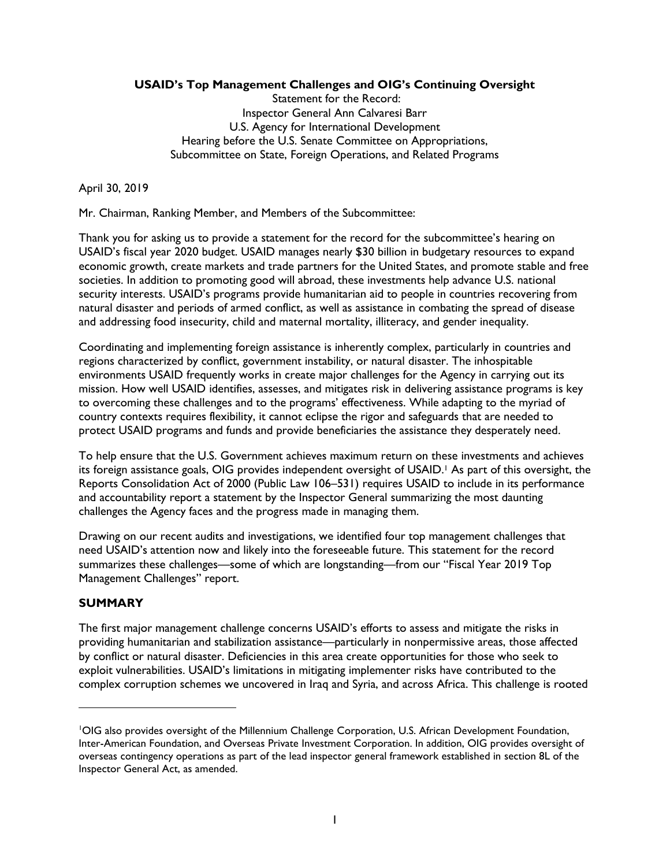## **USAID's Top Management Challenges and OIG's Continuing Oversight**

Statement for the Record: Inspector General Ann Calvaresi Barr U.S. Agency for International Development Hearing before the U.S. Senate Committee on Appropriations, Subcommittee on State, Foreign Operations, and Related Programs

April 30, 2019

Mr. Chairman, Ranking Member, and Members of the Subcommittee:

Thank you for asking us to provide a statement for the record for the subcommittee's hearing on USAID's fiscal year 2020 budget. USAID manages nearly \$30 billion in budgetary resources to expand economic growth, create markets and trade partners for the United States, and promote stable and free societies. In addition to promoting good will abroad, these investments help advance U.S. national security interests. USAID's programs provide humanitarian aid to people in countries recovering from natural disaster and periods of armed conflict, as well as assistance in combating the spread of disease and addressing food insecurity, child and maternal mortality, illiteracy, and gender inequality.

Coordinating and implementing foreign assistance is inherently complex, particularly in countries and regions characterized by conflict, government instability, or natural disaster. The inhospitable environments USAID frequently works in create major challenges for the Agency in carrying out its mission. How well USAID identifies, assesses, and mitigates risk in delivering assistance programs is key to overcoming these challenges and to the programs' effectiveness. While adapting to the myriad of country contexts requires flexibility, it cannot eclipse the rigor and safeguards that are needed to protect USAID programs and funds and provide beneficiaries the assistance they desperately need.

To help ensure that the U.S. Government achieves maximum return on these investments and achieves its foreign assistance goals, OIG provides independent oversight of USAID.<sup>1</sup> As part of this oversight, the Reports Consolidation Act of 2000 (Public Law 106–531) requires USAID to include in its performance and accountability report a statement by the Inspector General summarizing the most daunting challenges the Agency faces and the progress made in managing them.

Drawing on our recent audits and investigations, we identified four top management challenges that need USAID's attention now and likely into the foreseeable future. This statement for the record summarizes these challenges—some of which are longstanding—from our "Fiscal Year 2019 Top Management Challenges" report.

#### **SUMMARY**

The first major management challenge concerns USAID's efforts to assess and mitigate the risks in providing humanitarian and stabilization assistance—particularly in nonpermissive areas, those affected by conflict or natural disaster. Deficiencies in this area create opportunities for those who seek to exploit vulnerabilities. USAID's limitations in mitigating implementer risks have contributed to the complex corruption schemes we uncovered in Iraq and Syria, and across Africa. This challenge is rooted

<sup>1</sup>OIG also provides oversight of the Millennium Challenge Corporation, U.S. African Development Foundation, Inter-American Foundation, and Overseas Private Investment Corporation. In addition, OIG provides oversight of overseas contingency operations as part of the lead inspector general framework established in section 8L of the Inspector General Act, as amended.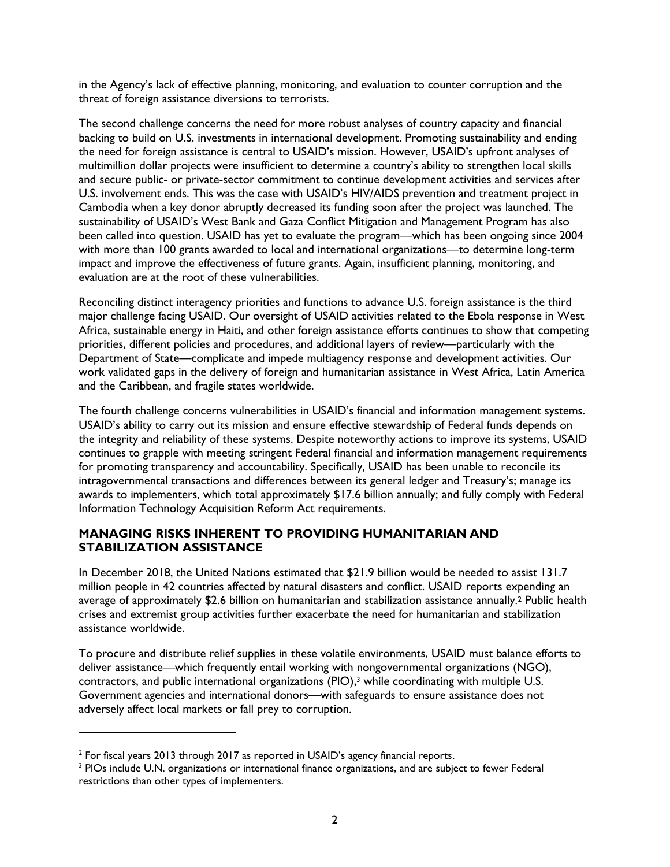in the Agency's lack of effective planning, monitoring, and evaluation to counter corruption and the threat of foreign assistance diversions to terrorists.

The second challenge concerns the need for more robust analyses of country capacity and financial backing to build on U.S. investments in international development. Promoting sustainability and ending the need for foreign assistance is central to USAID's mission. However, USAID's upfront analyses of multimillion dollar projects were insufficient to determine a country's ability to strengthen local skills and secure public- or private-sector commitment to continue development activities and services after U.S. involvement ends. This was the case with USAID's HIV/AIDS prevention and treatment project in Cambodia when a key donor abruptly decreased its funding soon after the project was launched. The sustainability of USAID's West Bank and Gaza Conflict Mitigation and Management Program has also been called into question. USAID has yet to evaluate the program—which has been ongoing since 2004 with more than 100 grants awarded to local and international organizations—to determine long-term impact and improve the effectiveness of future grants. Again, insufficient planning, monitoring, and evaluation are at the root of these vulnerabilities.

Reconciling distinct interagency priorities and functions to advance U.S. foreign assistance is the third major challenge facing USAID. Our oversight of USAID activities related to the Ebola response in West Africa, sustainable energy in Haiti, and other foreign assistance efforts continues to show that competing priorities, different policies and procedures, and additional layers of review—particularly with the Department of State—complicate and impede multiagency response and development activities. Our work validated gaps in the delivery of foreign and humanitarian assistance in West Africa, Latin America and the Caribbean, and fragile states worldwide.

The fourth challenge concerns vulnerabilities in USAID's financial and information management systems. USAID's ability to carry out its mission and ensure effective stewardship of Federal funds depends on the integrity and reliability of these systems. Despite noteworthy actions to improve its systems, USAID continues to grapple with meeting stringent Federal financial and information management requirements for promoting transparency and accountability. Specifically, USAID has been unable to reconcile its intragovernmental transactions and differences between its general ledger and Treasury's; manage its awards to implementers, which total approximately \$17.6 billion annually; and fully comply with Federal Information Technology Acquisition Reform Act requirements.

## **MANAGING RISKS INHERENT TO PROVIDING HUMANITARIAN AND STABILIZATION ASSISTANCE**

In December 2018, the United Nations estimated that \$21.9 billion would be needed to assist 131.7 million people in 42 countries affected by natural disasters and conflict. USAID reports expending an average of approximately \$2.6 billion on humanitarian and stabilization assistance annually.<sup>2</sup> Public health crises and extremist group activities further exacerbate the need for humanitarian and stabilization assistance worldwide.

To procure and distribute relief supplies in these volatile environments, USAID must balance efforts to deliver assistance—which frequently entail working with nongovernmental organizations (NGO), contractors, and public international organizations (PIO), <sup>3</sup> while coordinating with multiple U.S. Government agencies and international donors—with safeguards to ensure assistance does not adversely affect local markets or fall prey to corruption.

 $^{\text{2}}$  For fiscal years 2013 through 2017 as reported in USAID's agency financial reports.

<sup>&</sup>lt;sup>3</sup> PIOs include U.N. organizations or international finance organizations, and are subject to fewer Federal restrictions than other types of implementers.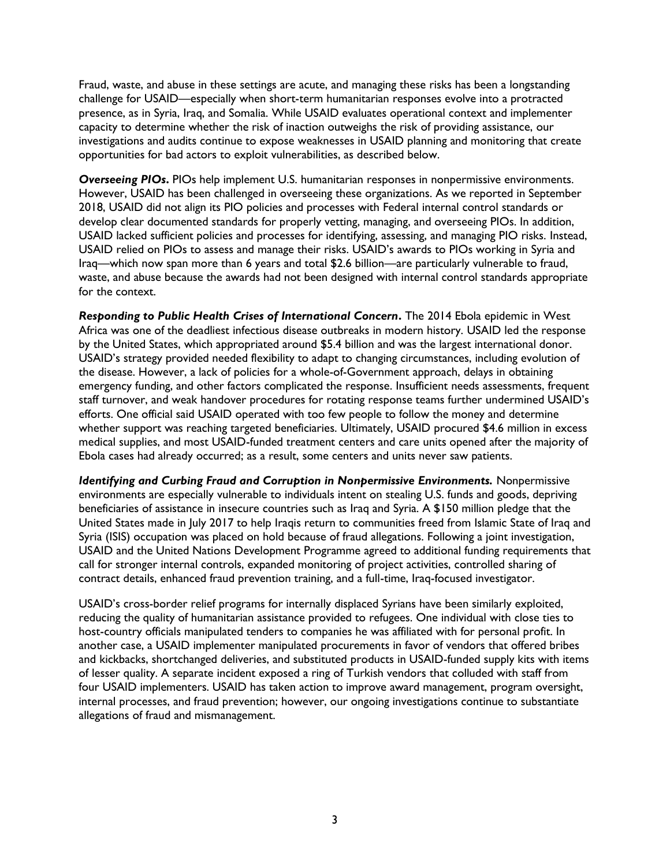Fraud, waste, and abuse in these settings are acute, and managing these risks has been a longstanding challenge for USAID—especially when short-term humanitarian responses evolve into a protracted presence, as in Syria, Iraq, and Somalia. While USAID evaluates operational context and implementer capacity to determine whether the risk of inaction outweighs the risk of providing assistance, our investigations and audits continue to expose weaknesses in USAID planning and monitoring that create opportunities for bad actors to exploit vulnerabilities, as described below.

*Overseeing PIOs***.** PIOs help implement U.S. humanitarian responses in nonpermissive environments. However, USAID has been challenged in overseeing these organizations. As we reported in September 2018, USAID did not align its PIO policies and processes with Federal internal control standards or develop clear documented standards for properly vetting, managing, and overseeing PIOs. In addition, USAID lacked sufficient policies and processes for identifying, assessing, and managing PIO risks. Instead, USAID relied on PIOs to assess and manage their risks. USAID's awards to PIOs working in Syria and Iraq—which now span more than 6 years and total \$2.6 billion—are particularly vulnerable to fraud, waste, and abuse because the awards had not been designed with internal control standards appropriate for the context.

*Responding to Public Health Crises of International Concern***.** The 2014 Ebola epidemic in West Africa was one of the deadliest infectious disease outbreaks in modern history. USAID led the response by the United States, which appropriated around \$5.4 billion and was the largest international donor. USAID's strategy provided needed flexibility to adapt to changing circumstances, including evolution of the disease. However, a lack of policies for a whole-of-Government approach, delays in obtaining emergency funding, and other factors complicated the response. Insufficient needs assessments, frequent staff turnover, and weak handover procedures for rotating response teams further undermined USAID's efforts. One official said USAID operated with too few people to follow the money and determine whether support was reaching targeted beneficiaries. Ultimately, USAID procured \$4.6 million in excess medical supplies, and most USAID-funded treatment centers and care units opened after the majority of Ebola cases had already occurred; as a result, some centers and units never saw patients.

*Identifying and Curbing Fraud and Corruption in Nonpermissive Environments. Nonpermissive* environments are especially vulnerable to individuals intent on stealing U.S. funds and goods, depriving beneficiaries of assistance in insecure countries such as Iraq and Syria. A \$150 million pledge that the United States made in July 2017 to help Iraqis return to communities freed from Islamic State of Iraq and Syria (ISIS) occupation was placed on hold because of fraud allegations. Following a joint investigation, USAID and the United Nations Development Programme agreed to additional funding requirements that call for stronger internal controls, expanded monitoring of project activities, controlled sharing of contract details, enhanced fraud prevention training, and a full-time, Iraq-focused investigator.

USAID's cross-border relief programs for internally displaced Syrians have been similarly exploited, reducing the quality of humanitarian assistance provided to refugees. One individual with close ties to host-country officials manipulated tenders to companies he was affiliated with for personal profit. In another case, a USAID implementer manipulated procurements in favor of vendors that offered bribes and kickbacks, shortchanged deliveries, and substituted products in USAID-funded supply kits with items of lesser quality. A separate incident exposed a ring of Turkish vendors that colluded with staff from four USAID implementers. USAID has taken action to improve award management, program oversight, internal processes, and fraud prevention; however, our ongoing investigations continue to substantiate allegations of fraud and mismanagement.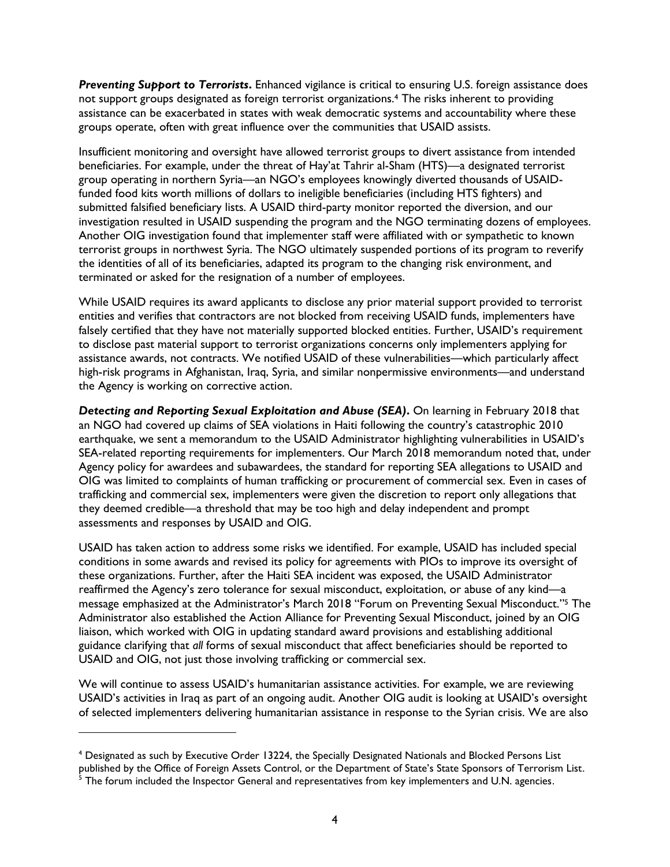**Preventing Support to Terrorists.** Enhanced vigilance is critical to ensuring U.S. foreign assistance does not support groups designated as foreign terrorist organizations.<sup>4</sup> The risks inherent to providing assistance can be exacerbated in states with weak democratic systems and accountability where these groups operate, often with great influence over the communities that USAID assists.

Insufficient monitoring and oversight have allowed terrorist groups to divert assistance from intended beneficiaries. For example, under the threat of Hay'at Tahrir al-Sham (HTS)—a designated terrorist group operating in northern Syria—an NGO's employees knowingly diverted thousands of USAIDfunded food kits worth millions of dollars to ineligible beneficiaries (including HTS fighters) and submitted falsified beneficiary lists. A USAID third-party monitor reported the diversion, and our investigation resulted in USAID suspending the program and the NGO terminating dozens of employees. Another OIG investigation found that implementer staff were affiliated with or sympathetic to known terrorist groups in northwest Syria. The NGO ultimately suspended portions of its program to reverify the identities of all of its beneficiaries, adapted its program to the changing risk environment, and terminated or asked for the resignation of a number of employees.

While USAID requires its award applicants to disclose any prior material support provided to terrorist entities and verifies that contractors are not blocked from receiving USAID funds, implementers have falsely certified that they have not materially supported blocked entities. Further, USAID's requirement to disclose past material support to terrorist organizations concerns only implementers applying for assistance awards, not contracts. We notified USAID of these vulnerabilities—which particularly affect high-risk programs in Afghanistan, Iraq, Syria, and similar nonpermissive environments—and understand the Agency is working on corrective action.

*Detecting and Reporting Sexual Exploitation and Abuse (SEA)***.** On learning in February 2018 that an NGO had covered up claims of SEA violations in Haiti following the country's catastrophic 2010 earthquake, we sent a memorandum to the USAID Administrator highlighting vulnerabilities in USAID's SEA-related reporting requirements for implementers. Our March 2018 memorandum noted that, under Agency policy for awardees and subawardees, the standard for reporting SEA allegations to USAID and OIG was limited to complaints of human trafficking or procurement of commercial sex. Even in cases of trafficking and commercial sex, implementers were given the discretion to report only allegations that they deemed credible—a threshold that may be too high and delay independent and prompt assessments and responses by USAID and OIG.

USAID has taken action to address some risks we identified. For example, USAID has included special conditions in some awards and revised its policy for agreements with PIOs to improve its oversight of these organizations. Further, after the Haiti SEA incident was exposed, the USAID Administrator reaffirmed the Agency's zero tolerance for sexual misconduct, exploitation, or abuse of any kind—a message emphasized at the Administrator's March 2018 "Forum on Preventing Sexual Misconduct." <sup>5</sup> The Administrator also established the Action Alliance for Preventing Sexual Misconduct, joined by an OIG liaison, which worked with OIG in updating standard award provisions and establishing additional guidance clarifying that *all* forms of sexual misconduct that affect beneficiaries should be reported to USAID and OIG, not just those involving trafficking or commercial sex.

We will continue to assess USAID's humanitarian assistance activities. For example, we are reviewing USAID's activities in Iraq as part of an ongoing audit. Another OIG audit is looking at USAID's oversight of selected implementers delivering humanitarian assistance in response to the Syrian crisis. We are also

<sup>4</sup> Designated as such by Executive Order 13224, the Specially Designated Nationals and Blocked Persons List published by the Office of Foreign Assets Control, or the Department of State's State Sponsors of Terrorism List.

 $^{\rm 5}$  The forum included the Inspector General and representatives from key implementers and U.N. agencies.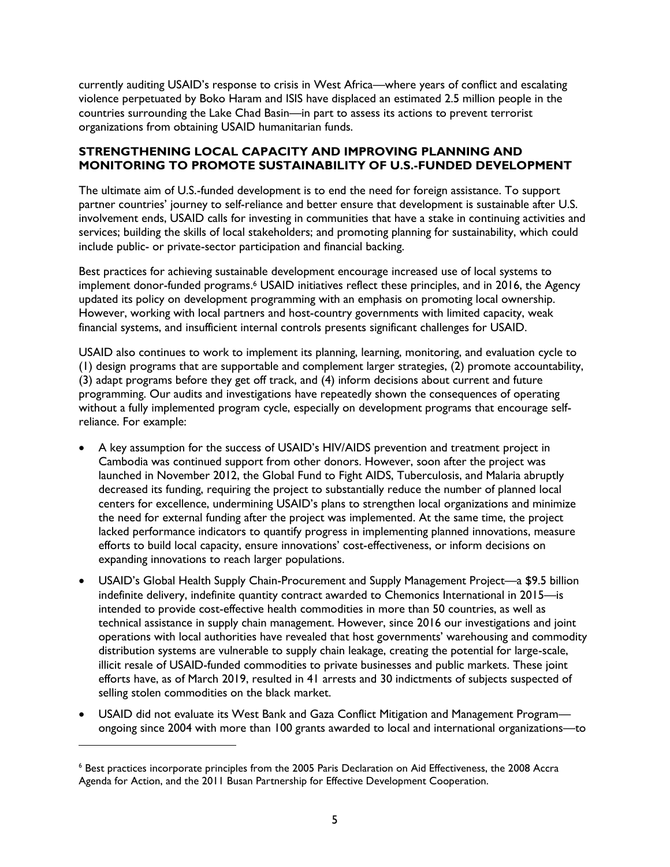currently auditing USAID's response to crisis in West Africa—where years of conflict and escalating violence perpetuated by Boko Haram and ISIS have displaced an estimated 2.5 million people in the countries surrounding the Lake Chad Basin—in part to assess its actions to prevent terrorist organizations from obtaining USAID humanitarian funds.

#### **STRENGTHENING LOCAL CAPACITY AND IMPROVING PLANNING AND MONITORING TO PROMOTE SUSTAINABILITY OF U.S.-FUNDED DEVELOPMENT**

The ultimate aim of U.S.-funded development is to end the need for foreign assistance. To support partner countries' journey to self-reliance and better ensure that development is sustainable after U.S. involvement ends, USAID calls for investing in communities that have a stake in continuing activities and services; building the skills of local stakeholders; and promoting planning for sustainability, which could include public- or private-sector participation and financial backing.

Best practices for achieving sustainable development encourage increased use of local systems to implement donor-funded programs. <sup>6</sup> USAID initiatives reflect these principles, and in 2016, the Agency updated its policy on development programming with an emphasis on promoting local ownership. However, working with local partners and host-country governments with limited capacity, weak financial systems, and insufficient internal controls presents significant challenges for USAID.

USAID also continues to work to implement its planning, learning, monitoring, and evaluation cycle to (1) design programs that are supportable and complement larger strategies, (2) promote accountability, (3) adapt programs before they get off track, and (4) inform decisions about current and future programming. Our audits and investigations have repeatedly shown the consequences of operating without a fully implemented program cycle, especially on development programs that encourage selfreliance. For example:

- A key assumption for the success of USAID's HIV/AIDS prevention and treatment project in Cambodia was continued support from other donors. However, soon after the project was launched in November 2012, the Global Fund to Fight AIDS, Tuberculosis, and Malaria abruptly decreased its funding, requiring the project to substantially reduce the number of planned local centers for excellence, undermining USAID's plans to strengthen local organizations and minimize the need for external funding after the project was implemented. At the same time, the project lacked performance indicators to quantify progress in implementing planned innovations, measure efforts to build local capacity, ensure innovations' cost-effectiveness, or inform decisions on expanding innovations to reach larger populations.
- USAID's Global Health Supply Chain-Procurement and Supply Management Project—a \$9.5 billion indefinite delivery, indefinite quantity contract awarded to Chemonics International in 2015—is intended to provide cost-effective health commodities in more than 50 countries, as well as technical assistance in supply chain management. However, since 2016 our investigations and joint operations with local authorities have revealed that host governments' warehousing and commodity distribution systems are vulnerable to supply chain leakage, creating the potential for large-scale, illicit resale of USAID-funded commodities to private businesses and public markets. These joint efforts have, as of March 2019, resulted in 41 arrests and 30 indictments of subjects suspected of selling stolen commodities on the black market.
- USAID did not evaluate its West Bank and Gaza Conflict Mitigation and Management Program ongoing since 2004 with more than 100 grants awarded to local and international organizations—to

<sup>6</sup> Best practices incorporate principles from the 2005 Paris Declaration on Aid Effectiveness, the 2008 Accra Agenda for Action, and the 2011 Busan Partnership for Effective Development Cooperation.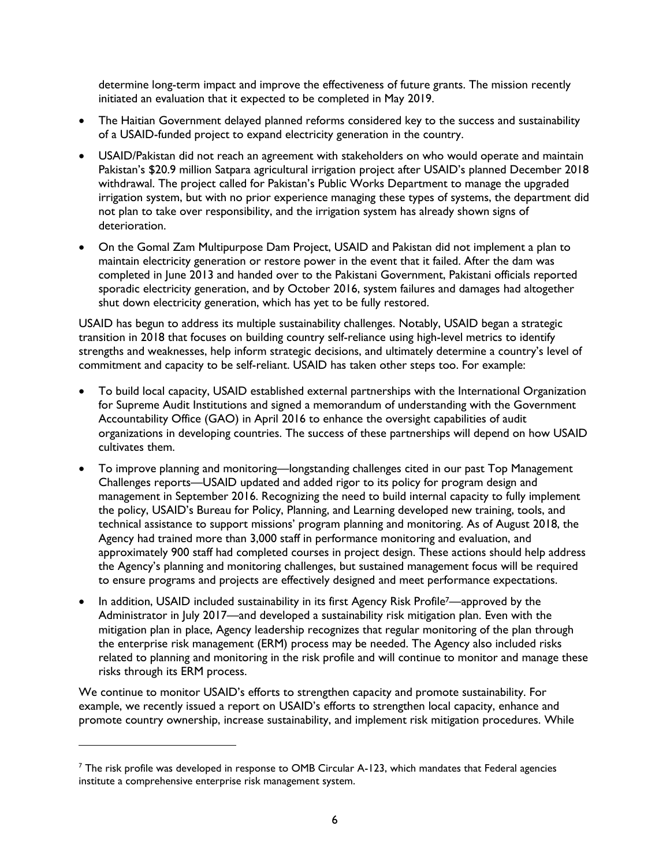determine long-term impact and improve the effectiveness of future grants. The mission recently initiated an evaluation that it expected to be completed in May 2019.

- The Haitian Government delayed planned reforms considered key to the success and sustainability of a USAID-funded project to expand electricity generation in the country.
- USAID/Pakistan did not reach an agreement with stakeholders on who would operate and maintain Pakistan's \$20.9 million Satpara agricultural irrigation project after USAID's planned December 2018 withdrawal. The project called for Pakistan's Public Works Department to manage the upgraded irrigation system, but with no prior experience managing these types of systems, the department did not plan to take over responsibility, and the irrigation system has already shown signs of deterioration.
- On the Gomal Zam Multipurpose Dam Project, USAID and Pakistan did not implement a plan to maintain electricity generation or restore power in the event that it failed. After the dam was completed in June 2013 and handed over to the Pakistani Government, Pakistani officials reported sporadic electricity generation, and by October 2016, system failures and damages had altogether shut down electricity generation, which has yet to be fully restored.

USAID has begun to address its multiple sustainability challenges. Notably, USAID began a strategic transition in 2018 that focuses on building country self-reliance using high-level metrics to identify strengths and weaknesses, help inform strategic decisions, and ultimately determine a country's level of commitment and capacity to be self-reliant. USAID has taken other steps too. For example:

- To build local capacity, USAID established external partnerships with the International Organization for Supreme Audit Institutions and signed a memorandum of understanding with the Government Accountability Office (GAO) in April 2016 to enhance the oversight capabilities of audit organizations in developing countries. The success of these partnerships will depend on how USAID cultivates them.
- To improve planning and monitoring—longstanding challenges cited in our past Top Management Challenges reports—USAID updated and added rigor to its policy for program design and management in September 2016. Recognizing the need to build internal capacity to fully implement the policy, USAID's Bureau for Policy, Planning, and Learning developed new training, tools, and technical assistance to support missions' program planning and monitoring. As of August 2018, the Agency had trained more than 3,000 staff in performance monitoring and evaluation, and approximately 900 staff had completed courses in project design. These actions should help address the Agency's planning and monitoring challenges, but sustained management focus will be required to ensure programs and projects are effectively designed and meet performance expectations.
- In addition, USAID included sustainability in its first Agency Risk Profile<sup>7</sup>—approved by the Administrator in July 2017—and developed a sustainability risk mitigation plan. Even with the mitigation plan in place, Agency leadership recognizes that regular monitoring of the plan through the enterprise risk management (ERM) process may be needed. The Agency also included risks related to planning and monitoring in the risk profile and will continue to monitor and manage these risks through its ERM process.

We continue to monitor USAID's efforts to strengthen capacity and promote sustainability. For example, we recently issued a report on USAID's efforts to strengthen local capacity, enhance and promote country ownership, increase sustainability, and implement risk mitigation procedures. While

 $7$  The risk profile was developed in response to OMB Circular A-123, which mandates that Federal agencies institute a comprehensive enterprise risk management system.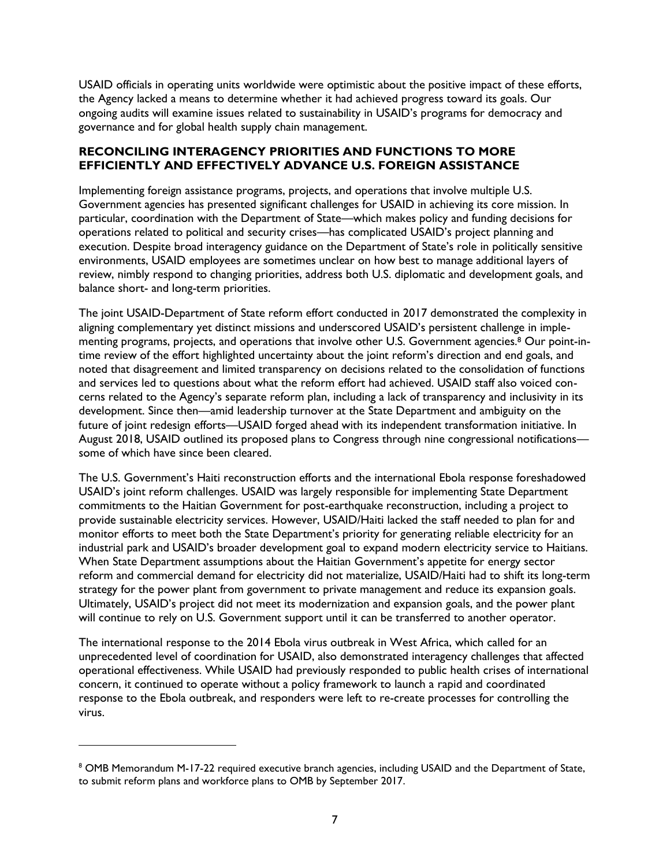USAID officials in operating units worldwide were optimistic about the positive impact of these efforts, the Agency lacked a means to determine whether it had achieved progress toward its goals. Our ongoing audits will examine issues related to sustainability in USAID's programs for democracy and governance and for global health supply chain management.

#### **RECONCILING INTERAGENCY PRIORITIES AND FUNCTIONS TO MORE EFFICIENTLY AND EFFECTIVELY ADVANCE U.S. FOREIGN ASSISTANCE**

Implementing foreign assistance programs, projects, and operations that involve multiple U.S. Government agencies has presented significant challenges for USAID in achieving its core mission. In particular, coordination with the Department of State—which makes policy and funding decisions for operations related to political and security crises—has complicated USAID's project planning and execution. Despite broad interagency guidance on the Department of State's role in politically sensitive environments, USAID employees are sometimes unclear on how best to manage additional layers of review, nimbly respond to changing priorities, address both U.S. diplomatic and development goals, and balance short- and long-term priorities.

The joint USAID-Department of State reform effort conducted in 2017 demonstrated the complexity in aligning complementary yet distinct missions and underscored USAID's persistent challenge in implementing programs, projects, and operations that involve other U.S. Government agencies.<sup>8</sup> Our point-intime review of the effort highlighted uncertainty about the joint reform's direction and end goals, and noted that disagreement and limited transparency on decisions related to the consolidation of functions and services led to questions about what the reform effort had achieved. USAID staff also voiced concerns related to the Agency's separate reform plan, including a lack of transparency and inclusivity in its development. Since then—amid leadership turnover at the State Department and ambiguity on the future of joint redesign efforts—USAID forged ahead with its independent transformation initiative. In August 2018, USAID outlined its proposed plans to Congress through nine congressional notifications some of which have since been cleared.

The U.S. Government's Haiti reconstruction efforts and the international Ebola response foreshadowed USAID's joint reform challenges. USAID was largely responsible for implementing State Department commitments to the Haitian Government for post-earthquake reconstruction, including a project to provide sustainable electricity services. However, USAID/Haiti lacked the staff needed to plan for and monitor efforts to meet both the State Department's priority for generating reliable electricity for an industrial park and USAID's broader development goal to expand modern electricity service to Haitians. When State Department assumptions about the Haitian Government's appetite for energy sector reform and commercial demand for electricity did not materialize, USAID/Haiti had to shift its long-term strategy for the power plant from government to private management and reduce its expansion goals. Ultimately, USAID's project did not meet its modernization and expansion goals, and the power plant will continue to rely on U.S. Government support until it can be transferred to another operator.

The international response to the 2014 Ebola virus outbreak in West Africa, which called for an unprecedented level of coordination for USAID, also demonstrated interagency challenges that affected operational effectiveness. While USAID had previously responded to public health crises of international concern, it continued to operate without a policy framework to launch a rapid and coordinated response to the Ebola outbreak, and responders were left to re-create processes for controlling the virus.

<sup>&</sup>lt;sup>8</sup> OMB Memorandum M-17-22 required executive branch agencies, including USAID and the Department of State, to submit reform plans and workforce plans to OMB by September 2017.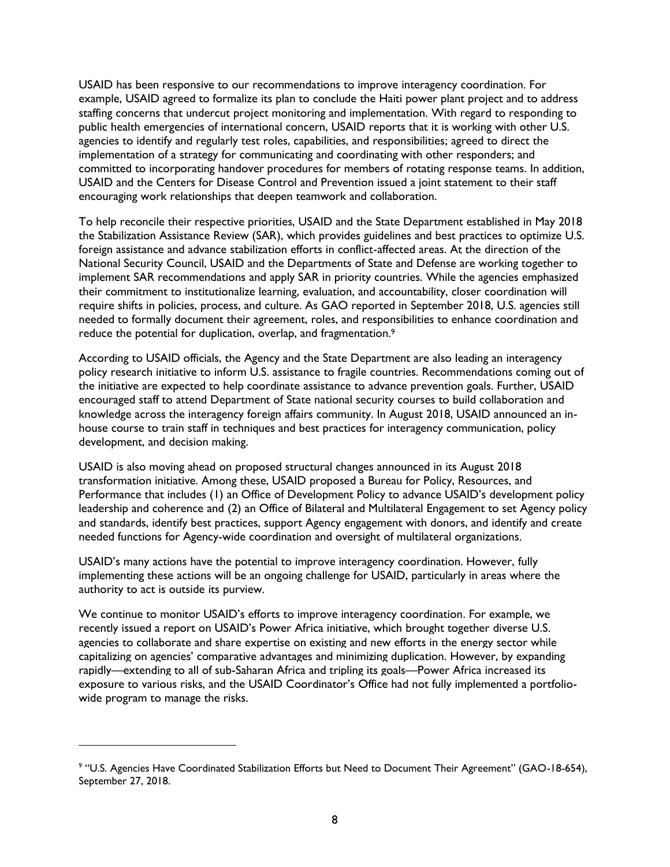USAID has been responsive to our recommendations to improve interagency coordination. For example, USAID agreed to formalize its plan to conclude the Haiti power plant project and to address staffing concerns that undercut project monitoring and implementation. With regard to responding to public health emergencies of international concern, USAID reports that it is working with other U.S. agencies to identify and regularly test roles, capabilities, and responsibilities; agreed to direct the implementation of a strategy for communicating and coordinating with other responders; and committed to incorporating handover procedures for members of rotating response teams. In addition, USAID and the Centers for Disease Control and Prevention issued a joint statement to their staff encouraging work relationships that deepen teamwork and collaboration.

To help reconcile their respective priorities, USAID and the State Department established in May 2018 the Stabilization Assistance Review (SAR), which provides guidelines and best practices to optimize U.S. foreign assistance and advance stabilization efforts in conflict-affected areas. At the direction of the National Security Council, USAID and the Departments of State and Defense are working together to implement SAR recommendations and apply SAR in priority countries. While the agencies emphasized their commitment to institutionalize learning, evaluation, and accountability, closer coordination will require shifts in policies, process, and culture. As GAO reported in September 2018, U.S. agencies still needed to formally document their agreement, roles, and responsibilities to enhance coordination and reduce the potential for duplication, overlap, and fragmentation.<sup>9</sup>

According to USAID officials, the Agency and the State Department are also leading an interagency policy research initiative to inform U.S. assistance to fragile countries. Recommendations coming out of the initiative are expected to help coordinate assistance to advance prevention goals. Further, USAID encouraged staff to attend Department of State national security courses to build collaboration and knowledge across the interagency foreign affairs community. In August 2018, USAID announced an inhouse course to train staff in techniques and best practices for interagency communication, policy development, and decision making.

USAID is also moving ahead on proposed structural changes announced in its August 2018 transformation initiative. Among these, USAID proposed a Bureau for Policy, Resources, and Performance that includes (1) an Office of Development Policy to advance USAID's development policy leadership and coherence and (2) an Office of Bilateral and Multilateral Engagement to set Agency policy and standards, identify best practices, support Agency engagement with donors, and identify and create needed functions for Agency-wide coordination and oversight of multilateral organizations.

USAID's many actions have the potential to improve interagency coordination. However, fully implementing these actions will be an ongoing challenge for USAID, particularly in areas where the authority to act is outside its purview.

We continue to monitor USAID's efforts to improve interagency coordination. For example, we recently issued a report on USAID's Power Africa initiative, which brought together diverse U.S. agencies to collaborate and share expertise on existing and new efforts in the energy sector while capitalizing on agencies' comparative advantages and minimizing duplication. However, by expanding rapidly—extending to all of sub-Saharan Africa and tripling its goals—Power Africa increased its exposure to various risks, and the USAID Coordinator's Office had not fully implemented a portfoliowide program to manage the risks.

<sup>9</sup> "U.S. Agencies Have Coordinated Stabilization Efforts but Need to Document Their Agreement" (GAO-18-654), September 27, 2018.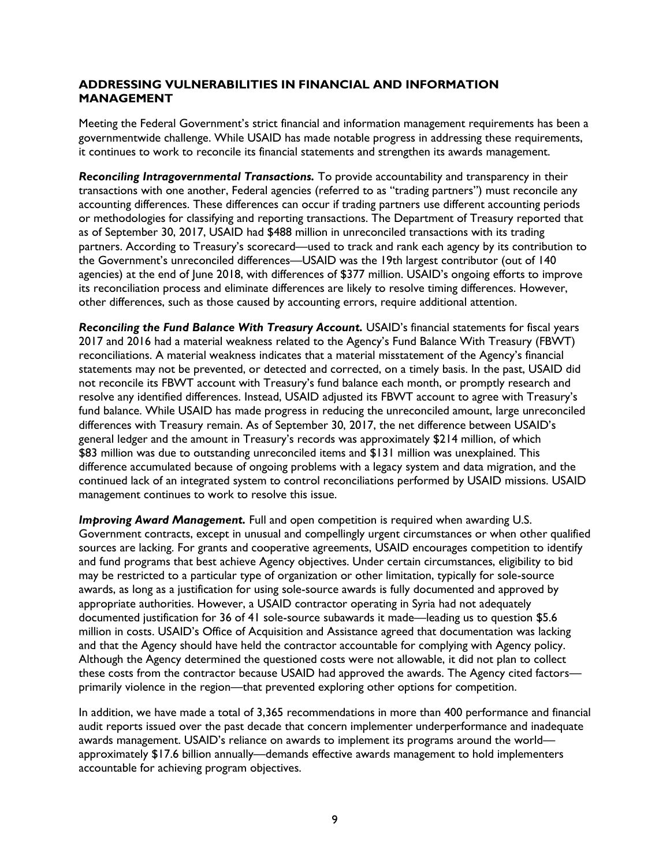### **ADDRESSING VULNERABILITIES IN FINANCIAL AND INFORMATION MANAGEMENT**

Meeting the Federal Government's strict financial and information management requirements has been a governmentwide challenge. While USAID has made notable progress in addressing these requirements, it continues to work to reconcile its financial statements and strengthen its awards management.

*Reconciling Intragovernmental Transactions.* To provide accountability and transparency in their transactions with one another, Federal agencies (referred to as "trading partners") must reconcile any accounting differences. These differences can occur if trading partners use different accounting periods or methodologies for classifying and reporting transactions. The Department of Treasury reported that as of September 30, 2017, USAID had \$488 million in unreconciled transactions with its trading partners. According to Treasury's scorecard—used to track and rank each agency by its contribution to the Government's unreconciled differences—USAID was the 19th largest contributor (out of 140 agencies) at the end of June 2018, with differences of \$377 million. USAID's ongoing efforts to improve its reconciliation process and eliminate differences are likely to resolve timing differences. However, other differences, such as those caused by accounting errors, require additional attention.

*Reconciling the Fund Balance With Treasury Account.* USAID's financial statements for fiscal years 2017 and 2016 had a material weakness related to the Agency's Fund Balance With Treasury (FBWT) reconciliations. A material weakness indicates that a material misstatement of the Agency's financial statements may not be prevented, or detected and corrected, on a timely basis. In the past, USAID did not reconcile its FBWT account with Treasury's fund balance each month, or promptly research and resolve any identified differences. Instead, USAID adjusted its FBWT account to agree with Treasury's fund balance. While USAID has made progress in reducing the unreconciled amount, large unreconciled differences with Treasury remain. As of September 30, 2017, the net difference between USAID's general ledger and the amount in Treasury's records was approximately \$214 million, of which \$83 million was due to outstanding unreconciled items and \$131 million was unexplained. This difference accumulated because of ongoing problems with a legacy system and data migration, and the continued lack of an integrated system to control reconciliations performed by USAID missions. USAID management continues to work to resolve this issue.

**Improving Award Management.** Full and open competition is required when awarding U.S. Government contracts, except in unusual and compellingly urgent circumstances or when other qualified sources are lacking. For grants and cooperative agreements, USAID encourages competition to identify and fund programs that best achieve Agency objectives. Under certain circumstances, eligibility to bid may be restricted to a particular type of organization or other limitation, typically for sole-source awards, as long as a justification for using sole-source awards is fully documented and approved by appropriate authorities. However, a USAID contractor operating in Syria had not adequately documented justification for 36 of 41 sole-source subawards it made—leading us to question \$5.6 million in costs. USAID's Office of Acquisition and Assistance agreed that documentation was lacking and that the Agency should have held the contractor accountable for complying with Agency policy. Although the Agency determined the questioned costs were not allowable, it did not plan to collect these costs from the contractor because USAID had approved the awards. The Agency cited factors primarily violence in the region—that prevented exploring other options for competition.

In addition, we have made a total of 3,365 recommendations in more than 400 performance and financial audit reports issued over the past decade that concern implementer underperformance and inadequate awards management. USAID's reliance on awards to implement its programs around the world approximately \$17.6 billion annually—demands effective awards management to hold implementers accountable for achieving program objectives.